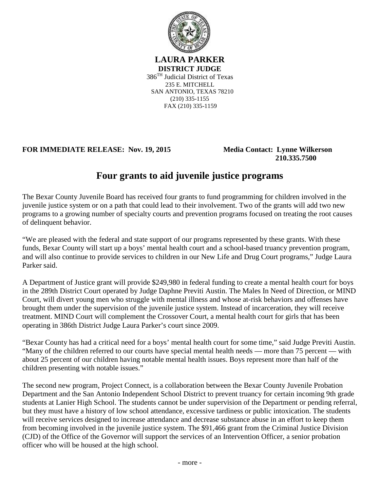

**LAURA PARKER DISTRICT JUDGE** 386TH Judicial District of Texas 235 E. MITCHELL SAN ANTONIO, TEXAS 78210 (210) 335-1155 FAX (210) 335-1159

**FOR IMMEDIATE RELEASE: Nov. 19, 2015 Media Contact: Lynne Wilkerson**

 **210.335.7500**

## **Four grants to aid juvenile justice programs**

The Bexar County Juvenile Board has received four grants to fund programming for children involved in the juvenile justice system or on a path that could lead to their involvement. Two of the grants will add two new programs to a growing number of specialty courts and prevention programs focused on treating the root causes of delinquent behavior.

"We are pleased with the federal and state support of our programs represented by these grants. With these funds, Bexar County will start up a boys' mental health court and a school-based truancy prevention program, and will also continue to provide services to children in our New Life and Drug Court programs," Judge Laura Parker said.

A Department of Justice grant will provide \$249,980 in federal funding to create a mental health court for boys in the 289th District Court operated by Judge Daphne Previti Austin. The Males In Need of Direction, or MIND Court, will divert young men who struggle with mental illness and whose at-risk behaviors and offenses have brought them under the supervision of the juvenile justice system. Instead of incarceration, they will receive treatment. MIND Court will complement the Crossover Court, a mental health court for girls that has been operating in 386th District Judge Laura Parker's court since 2009.

"Bexar County has had a critical need for a boys' mental health court for some time," said Judge Previti Austin. "Many of the children referred to our courts have special mental health needs — more than 75 percent — with about 25 percent of our children having notable mental health issues. Boys represent more than half of the children presenting with notable issues."

The second new program, Project Connect, is a collaboration between the Bexar County Juvenile Probation Department and the San Antonio Independent School District to prevent truancy for certain incoming 9th grade students at Lanier High School. The students cannot be under supervision of the Department or pending referral, but they must have a history of low school attendance, excessive tardiness or public intoxication. The students will receive services designed to increase attendance and decrease substance abuse in an effort to keep them from becoming involved in the juvenile justice system. The \$91,466 grant from the Criminal Justice Division (CJD) of the Office of the Governor will support the services of an Intervention Officer, a senior probation officer who will be housed at the high school.